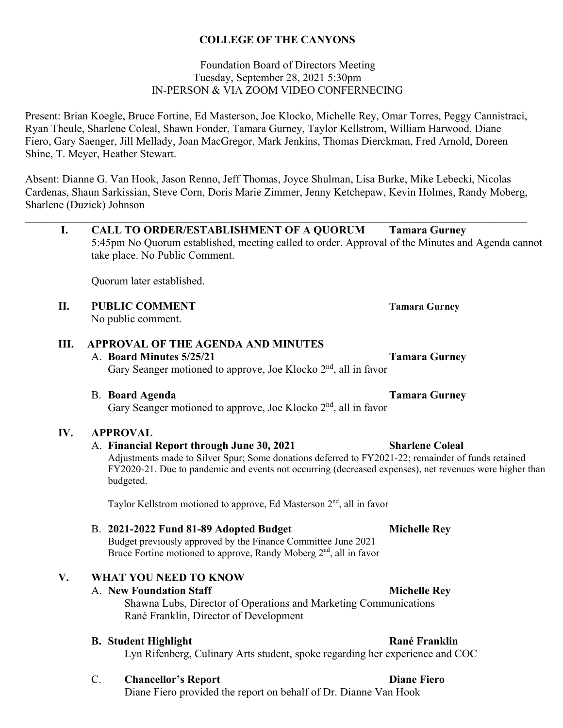#### **COLLEGE OF THE CANYONS**

#### Foundation Board of Directors Meeting Tuesday, September 28, 2021 5:30pm IN-PERSON & VIA ZOOM VIDEO CONFERNECING

Present: Brian Koegle, Bruce Fortine, Ed Masterson, Joe Klocko, Michelle Rey, Omar Torres, Peggy Cannistraci, Ryan Theule, Sharlene Coleal, Shawn Fonder, Tamara Gurney, Taylor Kellstrom, William Harwood, Diane Fiero, Gary Saenger, Jill Mellady, Joan MacGregor, Mark Jenkins, Thomas Dierckman, Fred Arnold, Doreen Shine, T. Meyer, Heather Stewart.

Absent: Dianne G. Van Hook, Jason Renno, Jeff Thomas, Joyce Shulman, Lisa Burke, Mike Lebecki, Nicolas Cardenas, Shaun Sarkissian, Steve Corn, Doris Marie Zimmer, Jenny Ketchepaw, Kevin Holmes, Randy Moberg, Sharlene (Duzick) Johnson

**\_\_\_\_\_\_\_\_\_\_\_\_\_\_\_\_\_\_\_\_\_\_\_\_\_\_\_\_\_\_\_\_\_\_\_\_\_\_\_\_\_\_\_\_\_\_\_\_\_\_\_\_\_\_\_\_\_\_\_\_\_\_\_\_\_\_\_\_\_\_\_\_\_\_\_\_\_\_\_\_\_\_\_\_\_\_\_\_\_\_\_** 

5:45pm No Quorum established, meeting called to order. Approval of the Minutes and Agenda cannot

**I. CALL TO ORDER/ESTABLISHMENT OF A QUORUM Tamara Gurney** 

take place. No Public Comment.

|     | Quorum later established.                                                                                                                                                                                                                                                                  |                        |
|-----|--------------------------------------------------------------------------------------------------------------------------------------------------------------------------------------------------------------------------------------------------------------------------------------------|------------------------|
| П.  | <b>PUBLIC COMMENT</b><br>No public comment.                                                                                                                                                                                                                                                | <b>Tamara Gurney</b>   |
| Ш.  | <b>APPROVAL OF THE AGENDA AND MINUTES</b><br>A. Board Minutes 5/25/21<br>Gary Seanger motioned to approve, Joe Klocko 2 <sup>nd</sup> , all in favor                                                                                                                                       | <b>Tamara Gurney</b>   |
|     | <b>B.</b> Board Agenda<br>Gary Seanger motioned to approve, Joe Klocko 2 <sup>nd</sup> , all in favor                                                                                                                                                                                      | <b>Tamara Gurney</b>   |
| IV. | <b>APPROVAL</b><br>A. Financial Report through June 30, 2021<br>Adjustments made to Silver Spur; Some donations deferred to FY2021-22; remainder of funds retained<br>FY2020-21. Due to pandemic and events not occurring (decreased expenses), net revenues were higher than<br>budgeted. | <b>Sharlene Coleal</b> |
|     | Taylor Kellstrom motioned to approve, Ed Masterson $2nd$ , all in favor<br>B. 2021-2022 Fund 81-89 Adopted Budget<br>Budget previously approved by the Finance Committee June 2021<br>Bruce Fortine motioned to approve, Randy Moberg 2 <sup>nd</sup> , all in favor                       | <b>Michelle Rey</b>    |
| V.  | <b>WHAT YOU NEED TO KNOW</b><br>A. New Foundation Staff<br>Shawna Lubs, Director of Operations and Marketing Communications<br>Rané Franklin, Director of Development                                                                                                                      | <b>Michelle Rey</b>    |
|     | <b>B.</b> Student Highlight<br>Lyn Rifenberg, Culinary Arts student, spoke regarding her experience and COC                                                                                                                                                                                | <b>Rané Franklin</b>   |
|     | $C$ .<br><b>Chancellor's Report</b><br>Diane Fiero provided the report on behalf of Dr. Dianne Van Hook                                                                                                                                                                                    | <b>Diane Fiero</b>     |
|     |                                                                                                                                                                                                                                                                                            |                        |
|     |                                                                                                                                                                                                                                                                                            |                        |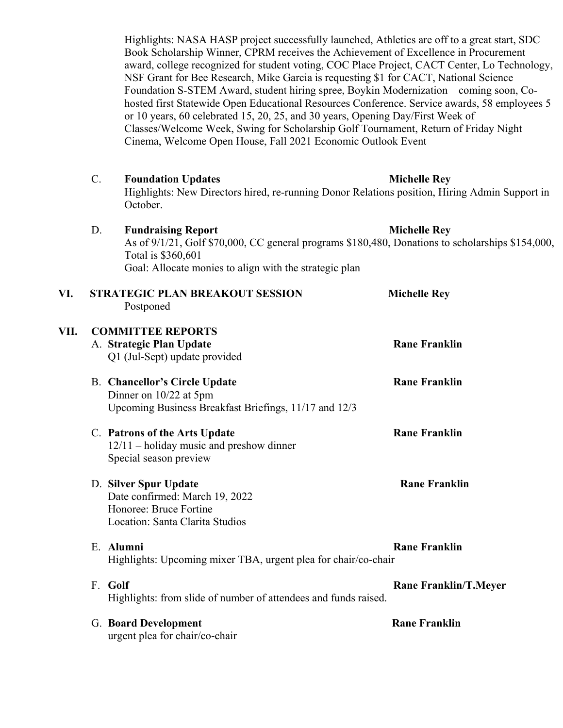Highlights: NASA HASP project successfully launched, Athletics are off to a great start, SDC Book Scholarship Winner, CPRM receives the Achievement of Excellence in Procurement award, college recognized for student voting, COC Place Project, CACT Center, Lo Technology, NSF Grant for Bee Research, Mike Garcia is requesting \$1 for CACT, National Science Foundation S-STEM Award, student hiring spree, Boykin Modernization – coming soon, Cohosted first Statewide Open Educational Resources Conference. Service awards, 58 employees 5 or 10 years, 60 celebrated 15, 20, 25, and 30 years, Opening Day/First Week of Classes/Welcome Week, Swing for Scholarship Golf Tournament, Return of Friday Night Cinema, Welcome Open House, Fall 2021 Economic Outlook Event

- C. **Foundation Updates Michelle Rey Michelle Rey** Highlights: New Directors hired, re-running Donor Relations position, Hiring Admin Support in October.
- D. **Fundraising Report Communist Communist Communist Communist Communist Communist Communist Communist Communist Communist Communist Communist Communist Communist Communist Communist Communist Communist Communist Communist** As of 9/1/21, Golf \$70,000, CC general programs \$180,480, Donations to scholarships \$154,000, Total is \$360,601 Goal: Allocate monies to align with the strategic plan

| VI.  | <b>STRATEGIC PLAN BREAKOUT SESSION</b><br>Postponed                                                                       | <b>Michelle Rey</b>          |
|------|---------------------------------------------------------------------------------------------------------------------------|------------------------------|
| VII. | <b>COMMITTEE REPORTS</b><br>A. Strategic Plan Update<br>Q1 (Jul-Sept) update provided                                     | <b>Rane Franklin</b>         |
|      | <b>B.</b> Chancellor's Circle Update<br>Dinner on $10/22$ at 5pm<br>Upcoming Business Breakfast Briefings, 11/17 and 12/3 | <b>Rane Franklin</b>         |
|      | C. Patrons of the Arts Update<br>12/11 - holiday music and preshow dinner<br>Special season preview                       | <b>Rane Franklin</b>         |
|      | D. Silver Spur Update<br>Date confirmed: March 19, 2022<br>Honoree: Bruce Fortine<br>Location: Santa Clarita Studios      | <b>Rane Franklin</b>         |
|      | E. Alumni<br>Highlights: Upcoming mixer TBA, urgent plea for chair/co-chair                                               | <b>Rane Franklin</b>         |
|      | F. Golf<br>Highlights: from slide of number of attendees and funds raised.                                                | <b>Rane Franklin/T.Meyer</b> |

G. Board Development **Rane Franklin** urgent plea for chair/co-chair